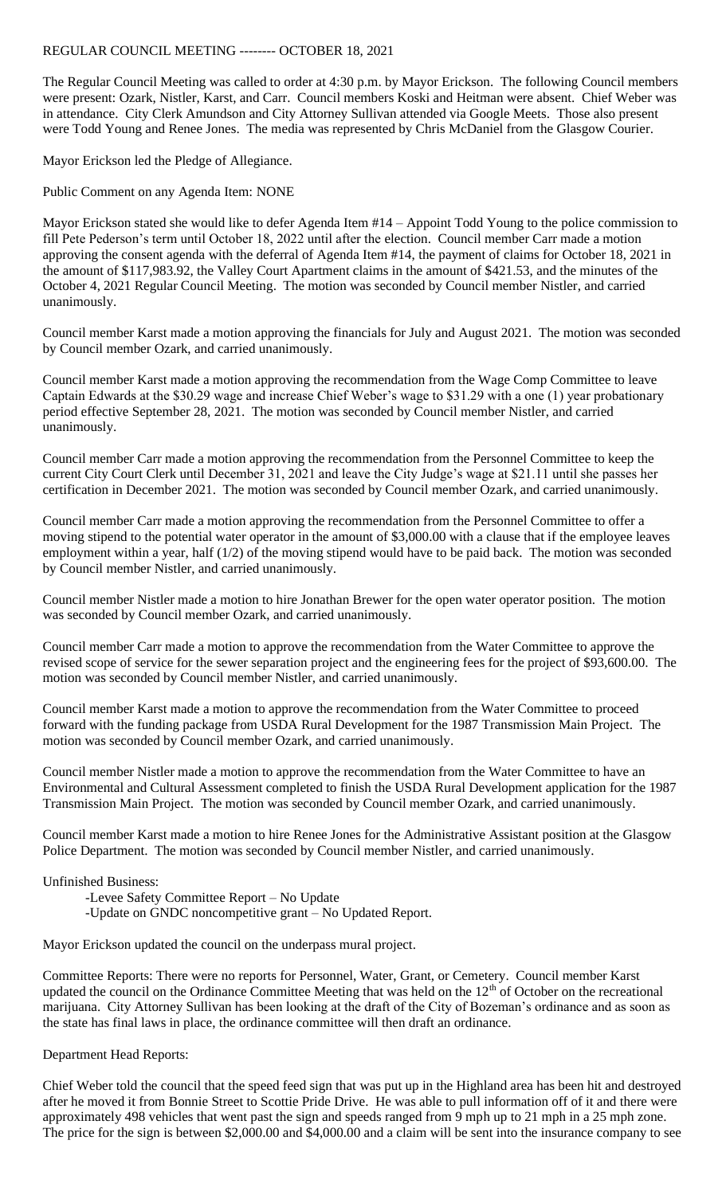REGULAR COUNCIL MEETING -------- OCTOBER 18, 2021

The Regular Council Meeting was called to order at 4:30 p.m. by Mayor Erickson. The following Council members were present: Ozark, Nistler, Karst, and Carr. Council members Koski and Heitman were absent. Chief Weber was in attendance. City Clerk Amundson and City Attorney Sullivan attended via Google Meets. Those also present were Todd Young and Renee Jones. The media was represented by Chris McDaniel from the Glasgow Courier.

Mayor Erickson led the Pledge of Allegiance.

Public Comment on any Agenda Item: NONE

Mayor Erickson stated she would like to defer Agenda Item #14 – Appoint Todd Young to the police commission to fill Pete Pederson's term until October 18, 2022 until after the election. Council member Carr made a motion approving the consent agenda with the deferral of Agenda Item #14, the payment of claims for October 18, 2021 in the amount of \$117,983.92, the Valley Court Apartment claims in the amount of \$421.53, and the minutes of the October 4, 2021 Regular Council Meeting. The motion was seconded by Council member Nistler, and carried unanimously.

Council member Karst made a motion approving the financials for July and August 2021. The motion was seconded by Council member Ozark, and carried unanimously.

Council member Karst made a motion approving the recommendation from the Wage Comp Committee to leave Captain Edwards at the \$30.29 wage and increase Chief Weber's wage to \$31.29 with a one (1) year probationary period effective September 28, 2021. The motion was seconded by Council member Nistler, and carried unanimously.

Council member Carr made a motion approving the recommendation from the Personnel Committee to keep the current City Court Clerk until December 31, 2021 and leave the City Judge's wage at \$21.11 until she passes her certification in December 2021. The motion was seconded by Council member Ozark, and carried unanimously.

Council member Carr made a motion approving the recommendation from the Personnel Committee to offer a moving stipend to the potential water operator in the amount of \$3,000.00 with a clause that if the employee leaves employment within a year, half (1/2) of the moving stipend would have to be paid back. The motion was seconded by Council member Nistler, and carried unanimously.

Council member Nistler made a motion to hire Jonathan Brewer for the open water operator position. The motion was seconded by Council member Ozark, and carried unanimously.

Council member Carr made a motion to approve the recommendation from the Water Committee to approve the revised scope of service for the sewer separation project and the engineering fees for the project of \$93,600.00. The motion was seconded by Council member Nistler, and carried unanimously.

Council member Karst made a motion to approve the recommendation from the Water Committee to proceed forward with the funding package from USDA Rural Development for the 1987 Transmission Main Project. The motion was seconded by Council member Ozark, and carried unanimously.

Council member Nistler made a motion to approve the recommendation from the Water Committee to have an Environmental and Cultural Assessment completed to finish the USDA Rural Development application for the 1987 Transmission Main Project. The motion was seconded by Council member Ozark, and carried unanimously.

Council member Karst made a motion to hire Renee Jones for the Administrative Assistant position at the Glasgow Police Department. The motion was seconded by Council member Nistler, and carried unanimously.

## Unfinished Business:

- -Levee Safety Committee Report No Update
- -Update on GNDC noncompetitive grant No Updated Report.

Mayor Erickson updated the council on the underpass mural project.

Committee Reports: There were no reports for Personnel, Water, Grant, or Cemetery. Council member Karst updated the council on the Ordinance Committee Meeting that was held on the  $12<sup>th</sup>$  of October on the recreational marijuana. City Attorney Sullivan has been looking at the draft of the City of Bozeman's ordinance and as soon as the state has final laws in place, the ordinance committee will then draft an ordinance.

Department Head Reports:

Chief Weber told the council that the speed feed sign that was put up in the Highland area has been hit and destroyed after he moved it from Bonnie Street to Scottie Pride Drive. He was able to pull information off of it and there were approximately 498 vehicles that went past the sign and speeds ranged from 9 mph up to 21 mph in a 25 mph zone. The price for the sign is between \$2,000.00 and \$4,000.00 and a claim will be sent into the insurance company to see